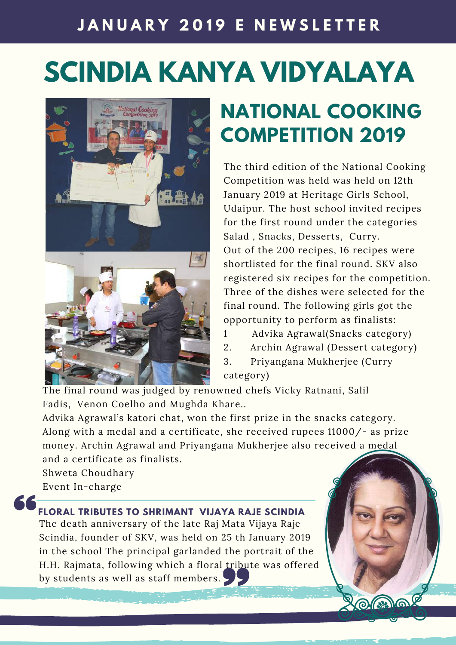### **J A N U A R Y 2 0 1 9 E N E W S L E T T E R**

# **SCINDIA KANYA VIDYALAYA**



# **NATIONAL COOKING COMPETITION 2019**

The third edition of the National Cooking Competition was held was held on 12th January 2019 at Heritage Girls School, Udaipur. The host school invited recipes for the first round under the categories Salad , Snacks, Desserts, Curry. Out of the 200 recipes, 16 recipes were shortlisted for the final round. SKV also registered six recipes for the competition. Three of the dishes were selected for the final round. The following girls got the opportunity to perform as finalists:

- 1 Advika Agrawal(Snacks category)
- 2. Archin Agrawal (Dessert category)

 $O(3)$ 

3. Priyangana Mukherjee (Curry category)

The final round was judged by renowned chefs Vicky Ratnani, Salil Fadis, Venon Coelho and Mughda Khare..

Advika Agrawal's katori chat, won the first prize in the snacks category. Along with a medal and a certificate, she received rupees 11000/- as prize money. Archin Agrawal and Priyangana Mukherjee also received a medal and a certificate as finalists.

Shweta Choudhary Event In-charge

#### **FLORAL TRIBUTES TO SHRIMANT VIJAYA RAJE SCINDIA**

The death anniversary of the late Raj Mata Vijaya Raje Scindia, founder of SKV, was held on 25 th January 2019 in the school The principal garlanded the portrait of the H.H. Rajmata, following which a floral tribute was offered by students as well as staff members.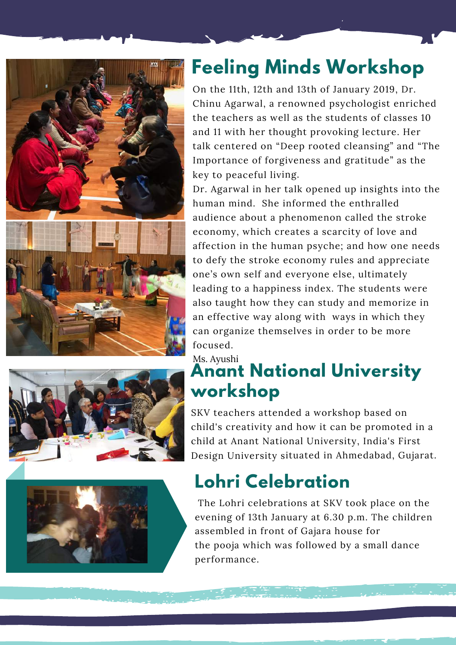





# **Feeling Minds Workshop**

On the 11th, 12th and 13th of January 2019, Dr. Chinu Agarwal, <sup>a</sup> renowned psychologist enriched the teachers as well as the students of classes 10 and 11 with her thought provoking lecture. Her talk centered on "Deep rooted cleansing" and "The Importance of forgiveness and gratitude" as the key to peaceful living.

Dr. Agarwal in her talk opened up insights into the human mind. She informed the enthralled audience about <sup>a</sup> phenomenon called the stroke economy, which creates <sup>a</sup> scarcity of love and affection in the human psyche; and how one needs to defy the stroke economy rules and appreciate one's own self and everyone else, ultimately leading to <sup>a</sup> happiness index. The students were also taught how they can study and memorize in an effective way along with ways in which they can organize themselves in order to be more focused.

#### Ms. Ayushi **Anant National University workshop**

SKV teachers attended <sup>a</sup> workshop based on child's creativity and how it can be promoted in <sup>a</sup> child at Anant National University, India's First Design University situated in Ahmedabad, Gujarat.

# **Lohri Celebration**

The Lohri celebrations at SKV took place on the evening of 13th January at 6.30 p.m. The children assembled in front of Gajara house for the pooja which was followed by <sup>a</sup> small dance performance.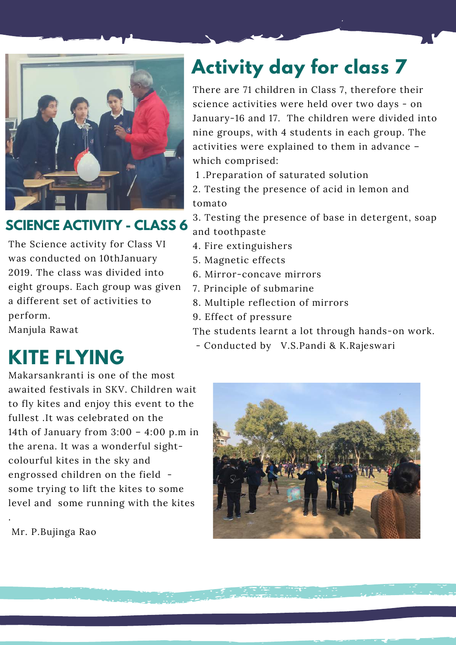

### **SCIENCE ACTIVITY - CLASS 6**

The Science activity for Class VI was conducted on 10thJanuary 2019. The class was divided into eight groups. Each group was given <sup>a</sup> different set of activities to perform.

Manjula Rawat

# **Activity day for class 7**

There are 71 children in Class 7, therefore their science activities were held over two days - on January-16 and 17. The children were divided into nine groups, with 4 students in each group. The activities were explained to them in advance – which comprised:

- 1 .Preparation of saturated solution
- 2. Testing the presence of acid in lemon and tomato
- 3. Testing the presence of base in detergent, soap and toothpaste
- 4. Fire extinguishers
- 5. Magnetic effects
- 6. Mirror-concave mirrors
- 7. Principle of submarine
- 8. Multiple reflection of mirrors
- 9. Effect of pressure

The students learnt <sup>a</sup> lot through hands-on work.

- Conducted by V.S.Pandi & K.Rajeswari

# **KITE FLYING**

Makarsankranti is one of the most awaited festivals in SKV. Children wait to fly kites and enjoy this event to the fullest .It was celebrated on the 14th of January from 3:00 – 4:00 p.m in the arena. It was <sup>a</sup> wonderful sightcolourful kites in the sky and engrossed children on the field some trying to lift the kites to some level and some running with the kites



Mr. P.Bujinga Rao

.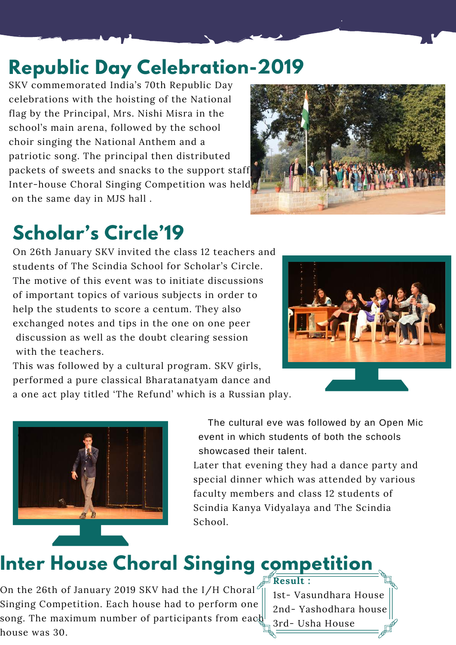# **Republic Day Celebration-2019**

SKV commemorated India's 70th Republic Day celebrations with the hoisting of the National flag by the Principal, Mrs. Nishi Misra in the school's main arena, followed by the school choir singing the National Anthem and <sup>a</sup> patriotic song. The principal then distributed packets of sweets and snacks to the suppor<sup>t</sup> staff. Inter-house Choral Singing Competition was held on the same day in MJS hall .



# **Scholar's Circle'19**

On 26th January SKV invited the class 12 teachers and students of The Scindia School for Scholar's Circle. The motive of this event was to initiate discussions of important topics of various subjects in order to help the students to score <sup>a</sup> centum. They also exchanged notes and tips in the one on one peer discussion as well as the doubt clearing session with the teachers.



This was followed by <sup>a</sup> cultural program. SKV girls, performed <sup>a</sup> pure classical Bharatanatyam dance and

<sup>a</sup> one act play titled 'The Refund' which is <sup>a</sup> Russian play.



The cultural eve was followed by an Open Mic event in which students of both the schools showcased their talent.

Later that evening they had <sup>a</sup> dance party and special dinner which was attended by various faculty members and class <sup>12</sup> students of Scindia Kanya Vidyalaya and The Scindia School.

**Result :**

# **Inter House Choral Singing competition**

On the 26th of January 2019 SKV had the I/H Choral $^{\prime}$ Singing Competition. Each house had to perform one song. The maximum number of participants from each house was 30.

1st- Vasundhara House 2nd- Yashodhara house 3rd- Usha House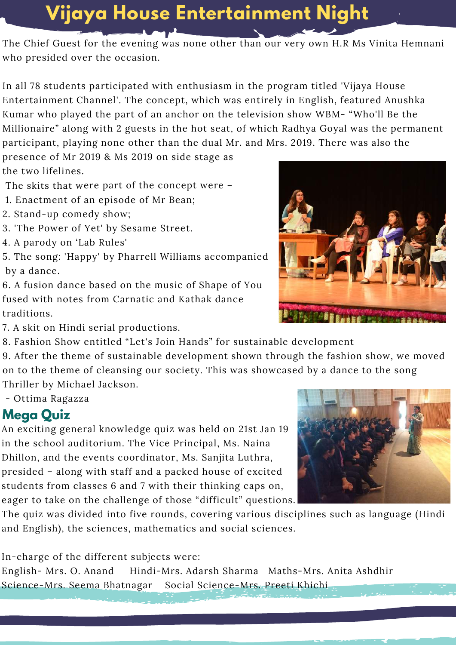## **Vijaya House Entertainment Night**

The Chief Guest for the evening was none other than our very own H.R Ms Vinita Hemnani who presided over the occasion.

In all 78 students participated with enthusiasm in the program titled 'Vijaya House Entertainment Channel'. The concept, which was entirely in English, featured Anushka Kumar who played the par<sup>t</sup> of an anchor on the television show WBM- "Who'll Be the Millionaire" along with <sup>2</sup> guests in the hot seat, of which Radhya Goyal was the permanen<sup>t</sup> participant, playing none other than the dual Mr. and Mrs. 2019. There was also the

presence of Mr 2019 & Ms 2019 on side stage as the two lifelines.

The skits that were par<sup>t</sup> of the concep<sup>t</sup> were –

- 1. Enactment of an episode of Mr Bean;
- 2. Stand-up comedy show;
- 3. 'The Power of Yet' by Sesame Street.
- 4. A parody on 'Lab Rules'
- 5. The song: 'Happy' by Pharrell Williams accompanied by <sup>a</sup> dance.
- 6. A fusion dance based on the music of Shape of You fused with notes from Carnatic and Kathak dance traditions.
- 7. A skit on Hindi serial productions.
- 8. Fashion Show entitled "Let's Join Hands" for sustainable development

9. After the theme of sustainable development shown through the fashion show, we moved on to the theme of cleansing our society. This was showcased by <sup>a</sup> dance to the song Thriller by Michael Jackson.

- Ottima Ragazza

#### **Mega Quiz**

An exciting general knowledge quiz was held on 21st Jan 19 in the school auditorium. The Vice Principal, Ms. Naina Dhillon, and the events coordinator, Ms. Sanjita Luthra, presided – along with staff and <sup>a</sup> packed house of excited students from classes 6 and <sup>7</sup> with their thinking caps on, eager to take on the challenge of those "difficult" questions.

The quiz was divided into five rounds, covering various disciplines such as language (Hindi and English), the sciences, mathematics and social sciences.

In-charge of the different subjects were:

English- Mrs. O. Anand Hindi-Mrs. Adarsh Sharma Maths-Mrs. Anita Ashdhir Science-Mrs. Seema Bhatnagar Social Science-Mrs. Preeti Khichi



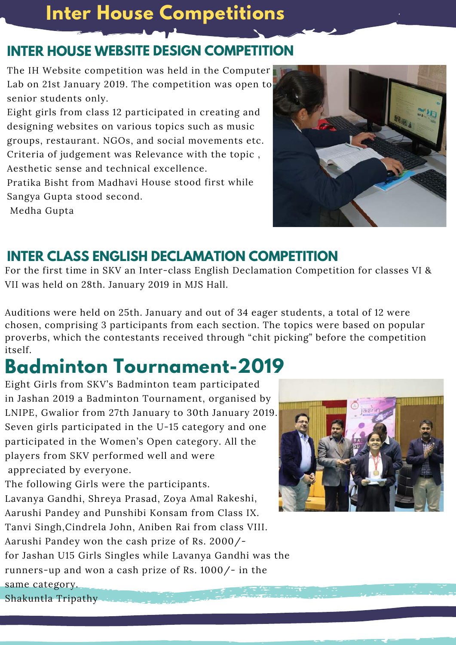## **Inter House Competitions**

### **INTER HOUSE WEBSITE DESIGN COMPETITION**

The IH Website competition was held in the Computer Lab on 21st January 2019. The competition was open to senior students only.

Eight girls from class <sup>12</sup> participated in creating and designing websites on various topics such as music groups, restaurant. NGOs, and social movements etc. Criteria of judgement was Relevance with the topic , Aesthetic sense and technical excellence.

Pratika Bisht from Madhavi House stood first while Sangya Gupta stood second.

Medha Gupta



### **INTER CLASS ENGLISH DECLAMATION COMPETITION**

For the first time in SKV an Inter-class English Declamation Competition for classes VI & VII was held on 28th. January 2019 in MJS Hall.

Auditions were held on 25th. January and out of 34 eager students, <sup>a</sup> total of <sup>12</sup> were chosen, comprising 3 participants from each section. The topics were based on popular proverbs, which the contestants received through "chit picking" before the competition itself.

# **Badminton Tournament-2019**

Eight Girls from SKV's Badminton team participated in Jashan 2019 <sup>a</sup> Badminton Tournament, organised by LNIPE, Gwalior from 27th January to 30th January 2019. Seven girls participated in the U-15 category and one participated in the Women's Open category. All the players from SKV performed well and were appreciated by everyone.

The following Girls were the participants. Lavanya Gandhi, Shreya Prasad, Zoya Amal Rakeshi, Aarushi Pandey and Punshibi Konsam from Class IX. Tanvi Singh,Cindrela John, Aniben Rai from class VIII. Aarushi Pandey won the cash prize of Rs. 2000/ for Jashan U15 Girls Singles while Lavanya Gandhi was the runners-up and won <sup>a</sup> cash prize of Rs. 1000/- in the same category.



Shakuntla Tripathy